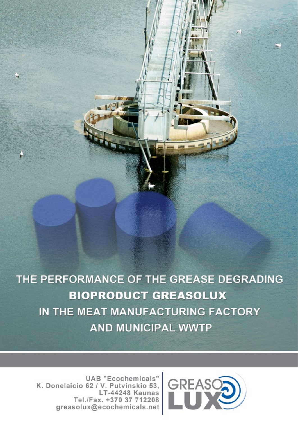THE PERFORMANCE OF THE GREASE DEGRADING **BIOPRODUCT GREASOLUX** IN THE MEAT MANUFACTURING FACTORY **AND MUNICIPAL WWTP** 



**UAB "Ecochemicals"** K. Donelaicio 62 / V. Putvinskio 53. LT-44248 Kaunas Tel./Fax. +370 37 712208 greasolux@ecochemicals.net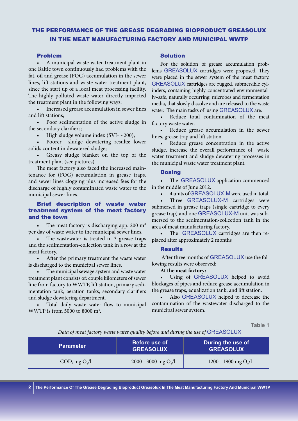## THE PERFORMANCE OF THE GREASE DEGRADING BIOPRODUCT GREASOLUX IN THE MEAT MANUFACTURING FACTORY AND MUNICIPAL WWTP

#### Problem

• A municipal waste water treatment plant in one Baltic town continuously had problems with the fat, oil and grease (FOG) accumulation in the sewer lines, lift stations and waste water treatment plant, since the start up of a local meat processing facility. The highly polluted waste water directly impacted the treatment plant in the following ways:

Increased grease accumulation in sewer lines and lift stations;

• Poor sedimentation of the active sludge in the secondary clarifiers;

High sludge volume index (SVI- $\sim$ 200);

Poorer sludge dewatering results: lower solids content in dewatered sludge;

Greasy sludge blanket on the top of the treatment plant (see pictures).

The meat factory also faced the increased maintenance for (FOG) accumulation in grease traps, and sewer lines clogging plus increased fees for the discharge of highly contaminated waste water to the municipal sewer lines.

## Brief description of waste water treatment system of the meat factory and the town

The meat factory is discharging app. 200  $m<sup>3</sup>$ per day of waste water to the municipal sewer lines.

The wastewater is treated in 3 grease traps and the sedimentation-collection tank in a row at the meat factory.

After the primary treatment the waste water is discharged to the municipal sewer lines.

The municipal sewage system and waste water treatment plant consists of: couple kilometers of sewer line from factory to WWTP, lift station, primary sedimentation tank, aeration tanks, secondary clarifiers and sludge dewatering department.

Total daily waste water flow to municipal WWTP is from 5000 to 8000  $m^3$ .

### Solution

For the solution of grease accumulation problems GREASOLUX cartridges were proposed. They were placed in the sewer system of the meat factory. GREASOLUX cartridges are rugged, submersible cylinders, containing highly concentrated environmentally–safe, naturally occurring, microbes and fermentation media, that slowly dissolve and are released to the waste water. The main tasks of using GREASOLUX are:

Reduce total contamination of the meat factory waste water.

Reduce grease accumulation in the sewer lines, grease trap and lift station.

Reduce grease concentration in the active sludge, increase the overall performance of waste water treatment and sludge dewatering processes in the municipal waste water treatment plant.

#### **Dosing**

The GREASOLUX application commenced in the middle of June 2012.

4 units of GREASOLUX-M were used in total.

Three GREASOLUX-M cartridges were submersed in grease traps (single cartridge to every grease trap) and one GREASOLUX-M unit was submersed to the sedimentation-collection tank in the area of meat manufacturing factory.

The GREASOLUX cartridges are then replaced after approximately 2 months

#### **Results**

After three months of GREASOLUX use the following results were observed:

**At the meat factory:**

Using of GREASOLUX helped to avoid blockages of pipes and reduce grease accumulation in the grease traps, equalization tank, and lift station.

Also GREASOLUX helped to decrease the contamination of the wastewater discharged to the municipal sewer system.

**Table 1**

*Data of meat factory waste water quality before and during the use of* GREASOLUX

| <b>Parameter</b> | Before use of<br><b>GREASOLUX</b> | During the use of<br><b>GREASOLUX</b> |
|------------------|-----------------------------------|---------------------------------------|
| COD, mg $O2/l$   | 2000 - 3000 mg O <sub>2</sub> /l  | 1200 - 1900 mg $O_1/l$                |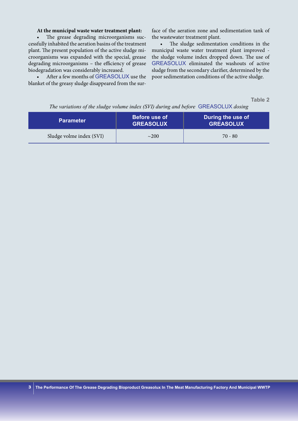### **At the municipal waste water treatment plant:**

The grease degrading microorganisms successfully inhabited the aeration basins of the treatment plant. The present population of the active sludge microorganisms was expanded with the special, grease degrading microorganisms – the efficiency of grease biodegradation was considerably increased.

After a few months of GREASOLUX use the blanket of the greasy sludge disappeared from the surface of the aeration zone and sedimentation tank of the wastewater treatment plant.

The sludge sedimentation conditions in the municipal waste water treatment plant improved the sludge volume index dropped down. The use of GREASOLUX eliminated the washouts of active sludge from the secondary clarifier, determined by the poor sedimentation conditions of the active sludge.

**Table 2** 

|  |  | The variations of the sludge volume index (SVI) during and before GREASOLUX dosing |
|--|--|------------------------------------------------------------------------------------|
|  |  |                                                                                    |

| <b>Parameter</b>         | <b>Before use of</b><br><b>GREASOLUX</b> | During the use of<br><b>GREASOLUX</b> |
|--------------------------|------------------------------------------|---------------------------------------|
| Sludge volme index (SVI) | $\sim$ 200                               | $70 - 80$                             |